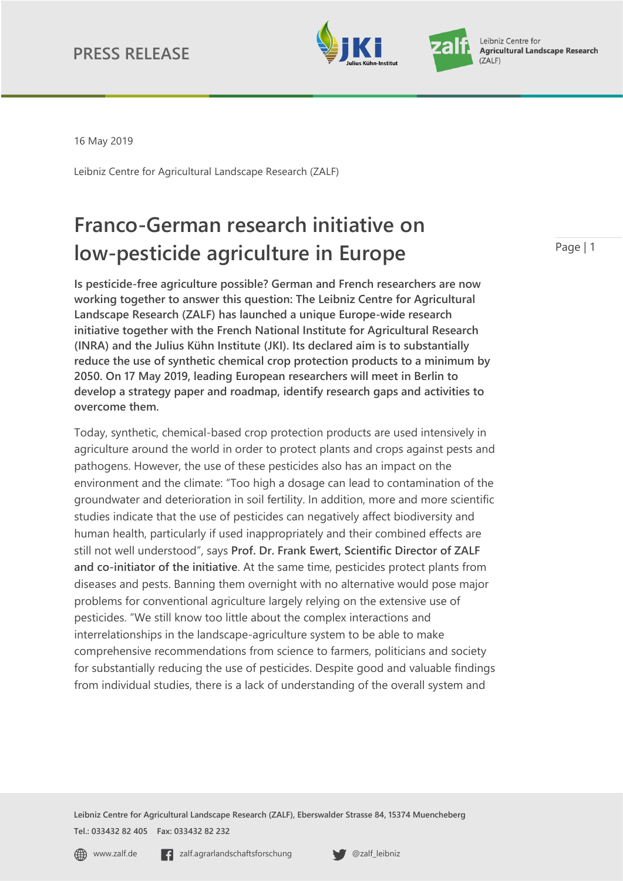



16 May 2019

Leibniz Centre for Agricultural Landscape Research (ZALF)

# **Franco-German research initiative on low-pesticide agriculture in Europe**

**Is pesticide-free agriculture possible? German and French researchers are now working together to answer this question: The Leibniz Centre for Agricultural Landscape Research (ZALF) has launched a unique Europe-wide research initiative together with the French National Institute for Agricultural Research (INRA) and the Julius Kühn Institute (JKI). Its declared aim is to substantially reduce the use of synthetic chemical crop protection products to a minimum by 2050. On 17 May 2019, leading European researchers will meet in Berlin to develop a strategy paper and roadmap, identify research gaps and activities to overcome them.** 

Today, synthetic, chemical-based crop protection products are used intensively in agriculture around the world in order to protect plants and crops against pests and pathogens. However, the use of these pesticides also has an impact on the environment and the climate: "Too high a dosage can lead to contamination of the groundwater and deterioration in soil fertility. In addition, more and more scientific studies indicate that the use of pesticides can negatively affect biodiversity and human health, particularly if used inappropriately and their combined effects are still not well understood", says **Prof. Dr. Frank Ewert, Scientific Director of ZALF and co-initiator of the initiative**. At the same time, pesticides protect plants from diseases and pests. Banning them overnight with no alternative would pose major problems for conventional agriculture largely relying on the extensive use of pesticides. "We still know too little about the complex interactions and interrelationships in the landscape-agriculture system to be able to make comprehensive recommendations from science to farmers, politicians and society for substantially reducing the use of pesticides. Despite good and valuable findings from individual studies, there is a lack of understanding of the overall system and

**Leibniz Centre for Agricultural Landscape Research (ZALF), Eberswalder Strasse 84, 15374 Muencheberg Tel.: 033432 82 405 Fax: 033432 82 232**

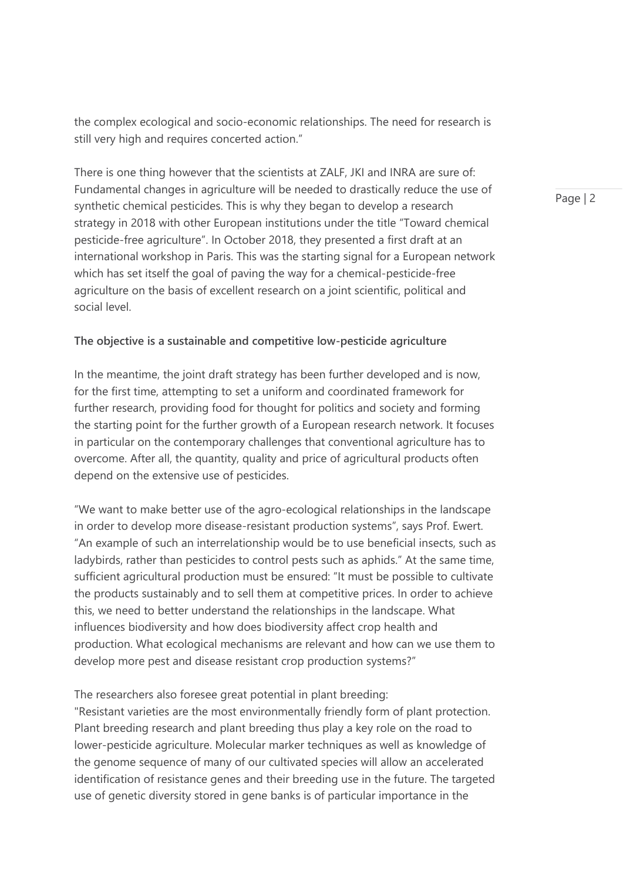the complex ecological and socio-economic relationships. The need for research is still very high and requires concerted action."

There is one thing however that the scientists at ZALF, JKI and INRA are sure of: Fundamental changes in agriculture will be needed to drastically reduce the use of synthetic chemical pesticides. This is why they began to develop a research strategy in 2018 with other European institutions under the title "Toward chemical pesticide-free agriculture". In October 2018, they presented a first draft at an international workshop in Paris. This was the starting signal for a European network which has set itself the goal of paving the way for a chemical-pesticide-free agriculture on the basis of excellent research on a joint scientific, political and social level.

## **The objective is a sustainable and competitive low-pesticide agriculture**

In the meantime, the joint draft strategy has been further developed and is now, for the first time, attempting to set a uniform and coordinated framework for further research, providing food for thought for politics and society and forming the starting point for the further growth of a European research network. It focuses in particular on the contemporary challenges that conventional agriculture has to overcome. After all, the quantity, quality and price of agricultural products often depend on the extensive use of pesticides.

"We want to make better use of the agro-ecological relationships in the landscape in order to develop more disease-resistant production systems", says Prof. Ewert. "An example of such an interrelationship would be to use beneficial insects, such as ladybirds, rather than pesticides to control pests such as aphids." At the same time, sufficient agricultural production must be ensured: "It must be possible to cultivate the products sustainably and to sell them at competitive prices. In order to achieve this, we need to better understand the relationships in the landscape. What influences biodiversity and how does biodiversity affect crop health and production. What ecological mechanisms are relevant and how can we use them to develop more pest and disease resistant crop production systems?"

The researchers also foresee great potential in plant breeding: "Resistant varieties are the most environmentally friendly form of plant protection. Plant breeding research and plant breeding thus play a key role on the road to lower-pesticide agriculture. Molecular marker techniques as well as knowledge of the genome sequence of many of our cultivated species will allow an accelerated identification of resistance genes and their breeding use in the future. The targeted use of genetic diversity stored in gene banks is of particular importance in the

Page | 2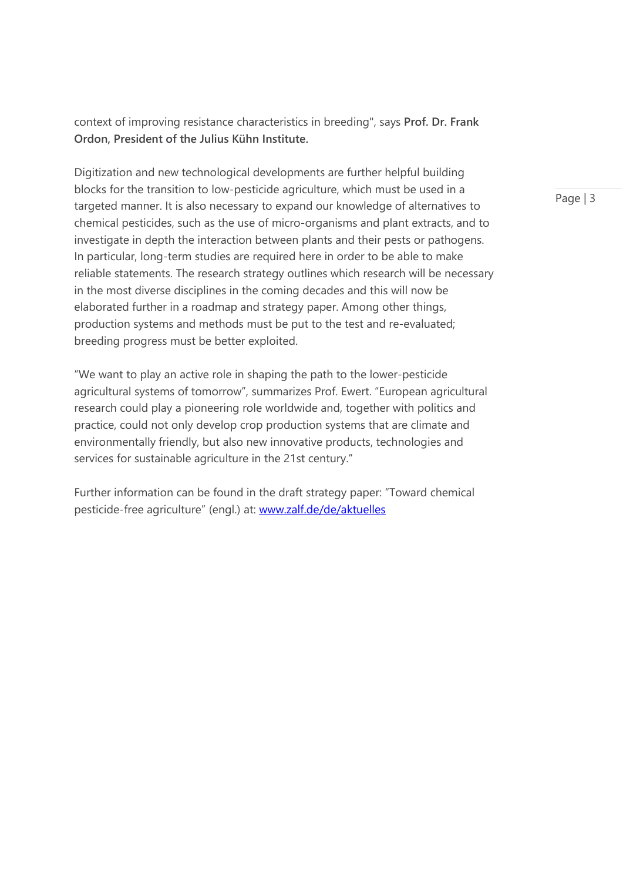context of improving resistance characteristics in breeding", says **Prof. Dr. Frank Ordon, President of the Julius Kühn Institute.** 

Digitization and new technological developments are further helpful building blocks for the transition to low-pesticide agriculture, which must be used in a targeted manner. It is also necessary to expand our knowledge of alternatives to chemical pesticides, such as the use of micro-organisms and plant extracts, and to investigate in depth the interaction between plants and their pests or pathogens. In particular, long-term studies are required here in order to be able to make reliable statements. The research strategy outlines which research will be necessary in the most diverse disciplines in the coming decades and this will now be elaborated further in a roadmap and strategy paper. Among other things, production systems and methods must be put to the test and re-evaluated; breeding progress must be better exploited.

"We want to play an active role in shaping the path to the lower-pesticide agricultural systems of tomorrow", summarizes Prof. Ewert. "European agricultural research could play a pioneering role worldwide and, together with politics and practice, could not only develop crop production systems that are climate and environmentally friendly, but also new innovative products, technologies and services for sustainable agriculture in the 21st century."

Further information can be found in the draft strategy paper: "Toward chemical pesticide-free agriculture" (engl.) at: [www.zalf.de/de/aktuelles](http://www.zalf.de/de/aktuelles)

Page | 3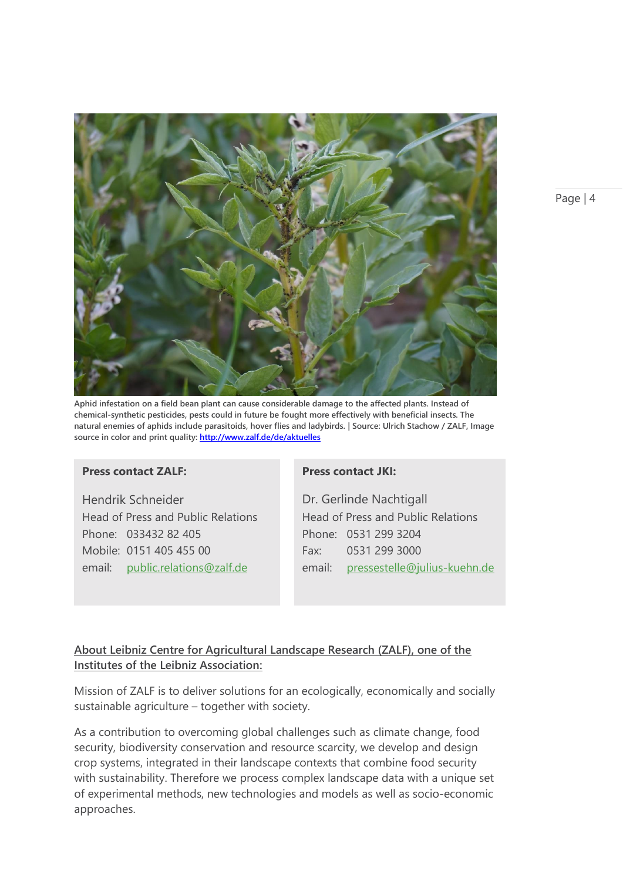

**Aphid infestation on a field bean plant can cause considerable damage to the affected plants. Instead of chemical-synthetic pesticides, pests could in future be fought more effectively with beneficial insects. The natural enemies of aphids include parasitoids, hover flies and ladybirds. | Source: Ulrich Stachow / ZALF, Image source in color and print quality:<http://www.zalf.de/de/aktuelles>**

### **Press contact ZALF:**

Hendrik Schneider Head of Press and Public Relations Phone: 033432 82 405 Mobile: 0151 405 455 00 email: [public.relations@zalf.de](mailto:public.relations@zalf.de)

#### **Press contact JKI:**

Dr. Gerlinde Nachtigall Head of Press and Public Relations Phone: 0531 299 3204 Fax: 0531 299 3000 email: pressestelle@julius-kuehn.de

# **About Leibniz Centre for Agricultural Landscape Research (ZALF), one of the Institutes of the Leibniz Association:**

Mission of ZALF is to deliver solutions for an ecologically, economically and socially sustainable agriculture – together with society.

As a contribution to overcoming global challenges such as climate change, food security, biodiversity conservation and resource scarcity, we develop and design crop systems, integrated in their landscape contexts that combine food security with sustainability. Therefore we process complex landscape data with a unique set of experimental methods, new technologies and models as well as socio-economic approaches.

Page | 4